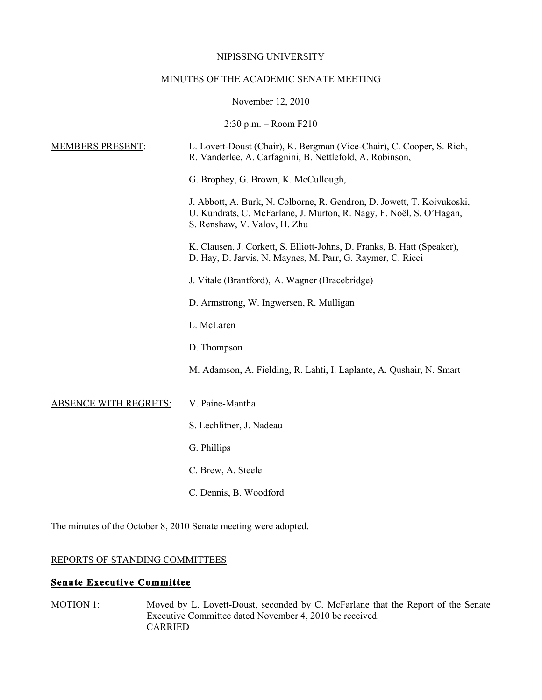#### NIPISSING UNIVERSITY

## MINUTES OF THE ACADEMIC SENATE MEETING

November 12, 2010

2:30 p.m. – Room F210

| <b>MEMBERS PRESENT:</b>      | L. Lovett-Doust (Chair), K. Bergman (Vice-Chair), C. Cooper, S. Rich,<br>R. Vanderlee, A. Carfagnini, B. Nettlefold, A. Robinson,                                             |
|------------------------------|-------------------------------------------------------------------------------------------------------------------------------------------------------------------------------|
|                              | G. Brophey, G. Brown, K. McCullough,                                                                                                                                          |
|                              | J. Abbott, A. Burk, N. Colborne, R. Gendron, D. Jowett, T. Koivukoski,<br>U. Kundrats, C. McFarlane, J. Murton, R. Nagy, F. Noël, S. O'Hagan,<br>S. Renshaw, V. Valov, H. Zhu |
|                              | K. Clausen, J. Corkett, S. Elliott-Johns, D. Franks, B. Hatt (Speaker),<br>D. Hay, D. Jarvis, N. Maynes, M. Parr, G. Raymer, C. Ricci                                         |
|                              | J. Vitale (Brantford), A. Wagner (Bracebridge)                                                                                                                                |
|                              | D. Armstrong, W. Ingwersen, R. Mulligan                                                                                                                                       |
|                              | L. McLaren                                                                                                                                                                    |
|                              | D. Thompson                                                                                                                                                                   |
|                              | M. Adamson, A. Fielding, R. Lahti, I. Laplante, A. Qushair, N. Smart                                                                                                          |
| <b>ABSENCE WITH REGRETS:</b> | V. Paine-Mantha                                                                                                                                                               |
|                              | S. Lechlitner, J. Nadeau                                                                                                                                                      |
|                              | G. Phillips                                                                                                                                                                   |
|                              | C. Brew, A. Steele                                                                                                                                                            |
|                              | C. Dennis, B. Woodford                                                                                                                                                        |
|                              |                                                                                                                                                                               |

The minutes of the October 8, 2010 Senate meeting were adopted.

# REPORTS OF STANDING COMMITTEES

## **Senate Executive Committee**

MOTION 1: Moved by L. Lovett-Doust, seconded by C. McFarlane that the Report of the Senate Executive Committee dated November 4, 2010 be received. CARRIED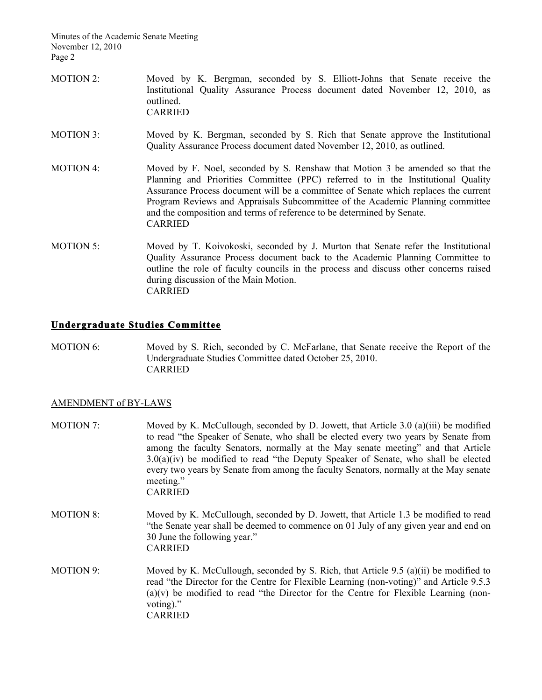- MOTION 2: Moved by K. Bergman, seconded by S. Elliott-Johns that Senate receive the Institutional Quality Assurance Process document dated November 12, 2010, as outlined. CARRIED
- MOTION 3: Moved by K. Bergman, seconded by S. Rich that Senate approve the Institutional Quality Assurance Process document dated November 12, 2010, as outlined.
- MOTION 4: Moved by F. Noel, seconded by S. Renshaw that Motion 3 be amended so that the Planning and Priorities Committee (PPC) referred to in the Institutional Quality Assurance Process document will be a committee of Senate which replaces the current Program Reviews and Appraisals Subcommittee of the Academic Planning committee and the composition and terms of reference to be determined by Senate. CARRIED
- MOTION 5: Moved by T. Koivokoski, seconded by J. Murton that Senate refer the Institutional Quality Assurance Process document back to the Academic Planning Committee to outline the role of faculty councils in the process and discuss other concerns raised during discussion of the Main Motion. CARRIED

## **Undergraduate Studies Committee**

MOTION 6: Moved by S. Rich, seconded by C. McFarlane, that Senate receive the Report of the Undergraduate Studies Committee dated October 25, 2010. CARRIED

#### AMENDMENT of BY-LAWS

- MOTION 7: Moved by K. McCullough, seconded by D. Jowett, that Article 3.0 (a)(iii) be modified to read "the Speaker of Senate, who shall be elected every two years by Senate from among the faculty Senators, normally at the May senate meeting" and that Article 3.0(a)(iv) be modified to read "the Deputy Speaker of Senate, who shall be elected every two years by Senate from among the faculty Senators, normally at the May senate meeting." CARRIED
- MOTION 8: Moved by K. McCullough, seconded by D. Jowett, that Article 1.3 be modified to read "the Senate year shall be deemed to commence on 01 July of any given year and end on 30 June the following year." CARRIED
- MOTION 9: Moved by K. McCullough, seconded by S. Rich, that Article 9.5 (a)(ii) be modified to read "the Director for the Centre for Flexible Learning (non-voting)" and Article 9.5.3  $(a)(v)$  be modified to read "the Director for the Centre for Flexible Learning (nonvoting)." CARRIED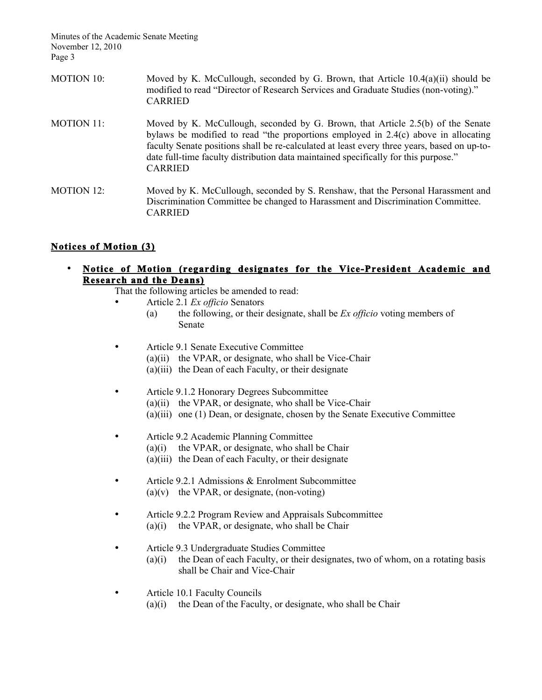- MOTION 10: Moved by K. McCullough, seconded by G. Brown, that Article 10.4(a)(ii) should be modified to read "Director of Research Services and Graduate Studies (non-voting)." CARRIED
- MOTION 11: Moved by K. McCullough, seconded by G. Brown, that Article 2.5(b) of the Senate bylaws be modified to read "the proportions employed in 2.4(c) above in allocating faculty Senate positions shall be re-calculated at least every three years, based on up-todate full-time faculty distribution data maintained specifically for this purpose." CARRIED
- MOTION 12: Moved by K. McCullough, seconded by S. Renshaw, that the Personal Harassment and Discrimination Committee be changed to Harassment and Discrimination Committee. CARRIED

# **Notices of Motion (3)**

• **Notice of Motion (regarding designates for the Vice-President Academic and Research and the Deans)** 

That the following articles be amended to read:

- Article 2.1 *Ex officio* Senators
	- (a) the following, or their designate, shall be *Ex officio* voting members of Senate
- Article 9.1 Senate Executive Committee
	- (a)(ii) the VPAR, or designate, who shall be Vice-Chair
	- (a)(iii) the Dean of each Faculty, or their designate
- Article 9.1.2 Honorary Degrees Subcommittee (a)(ii) the VPAR, or designate, who shall be Vice-Chair (a)(iii) one (1) Dean, or designate, chosen by the Senate Executive Committee
- Article 9.2 Academic Planning Committee
	- $(a)(i)$  the VPAR, or designate, who shall be Chair
	- (a)(iii) the Dean of each Faculty, or their designate
- Article 9.2.1 Admissions & Enrolment Subcommittee  $(a)(v)$  the VPAR, or designate, (non-voting)
- Article 9.2.2 Program Review and Appraisals Subcommittee  $(a)(i)$  the VPAR, or designate, who shall be Chair
- Article 9.3 Undergraduate Studies Committee
	- $(a)(i)$  the Dean of each Faculty, or their designates, two of whom, on a rotating basis shall be Chair and Vice-Chair
- Article 10.1 Faculty Councils
	- (a)(i) the Dean of the Faculty, or designate, who shall be Chair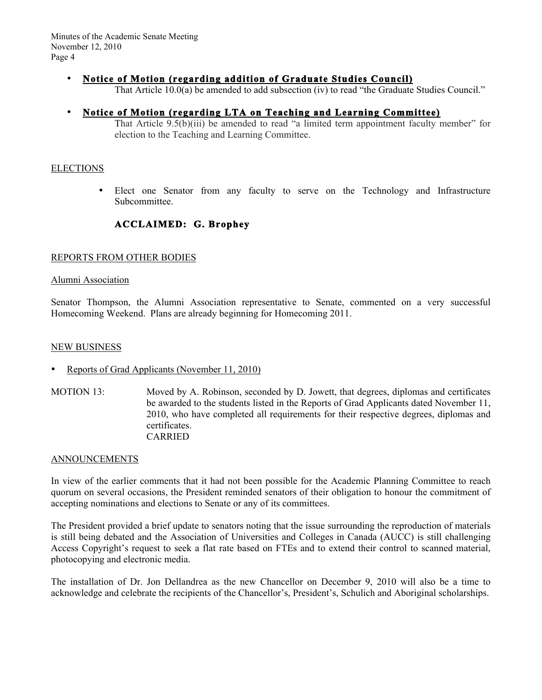# • **Notice of Motion (regarding addition of Graduate Studies Council)**

That Article 10.0(a) be amended to add subsection (iv) to read "the Graduate Studies Council."

# • **Notice of Motion (regarding LTA on Teaching and Learning Committee)**

That Article 9.5(b)(iii) be amended to read "a limited term appointment faculty member" for election to the Teaching and Learning Committee.

### ELECTIONS

• Elect one Senator from any faculty to serve on the Technology and Infrastructure Subcommittee.

# **ACCLAIMED: G. Brophey**

## REPORTS FROM OTHER BODIES

#### Alumni Association

Senator Thompson, the Alumni Association representative to Senate, commented on a very successful Homecoming Weekend. Plans are already beginning for Homecoming 2011.

#### NEW BUSINESS

- Reports of Grad Applicants (November 11, 2010)
- MOTION 13: Moved by A. Robinson, seconded by D. Jowett, that degrees, diplomas and certificates be awarded to the students listed in the Reports of Grad Applicants dated November 11, 2010, who have completed all requirements for their respective degrees, diplomas and certificates. CARRIED

#### ANNOUNCEMENTS

In view of the earlier comments that it had not been possible for the Academic Planning Committee to reach quorum on several occasions, the President reminded senators of their obligation to honour the commitment of accepting nominations and elections to Senate or any of its committees.

The President provided a brief update to senators noting that the issue surrounding the reproduction of materials is still being debated and the Association of Universities and Colleges in Canada (AUCC) is still challenging Access Copyright's request to seek a flat rate based on FTEs and to extend their control to scanned material, photocopying and electronic media.

The installation of Dr. Jon Dellandrea as the new Chancellor on December 9, 2010 will also be a time to acknowledge and celebrate the recipients of the Chancellor's, President's, Schulich and Aboriginal scholarships.